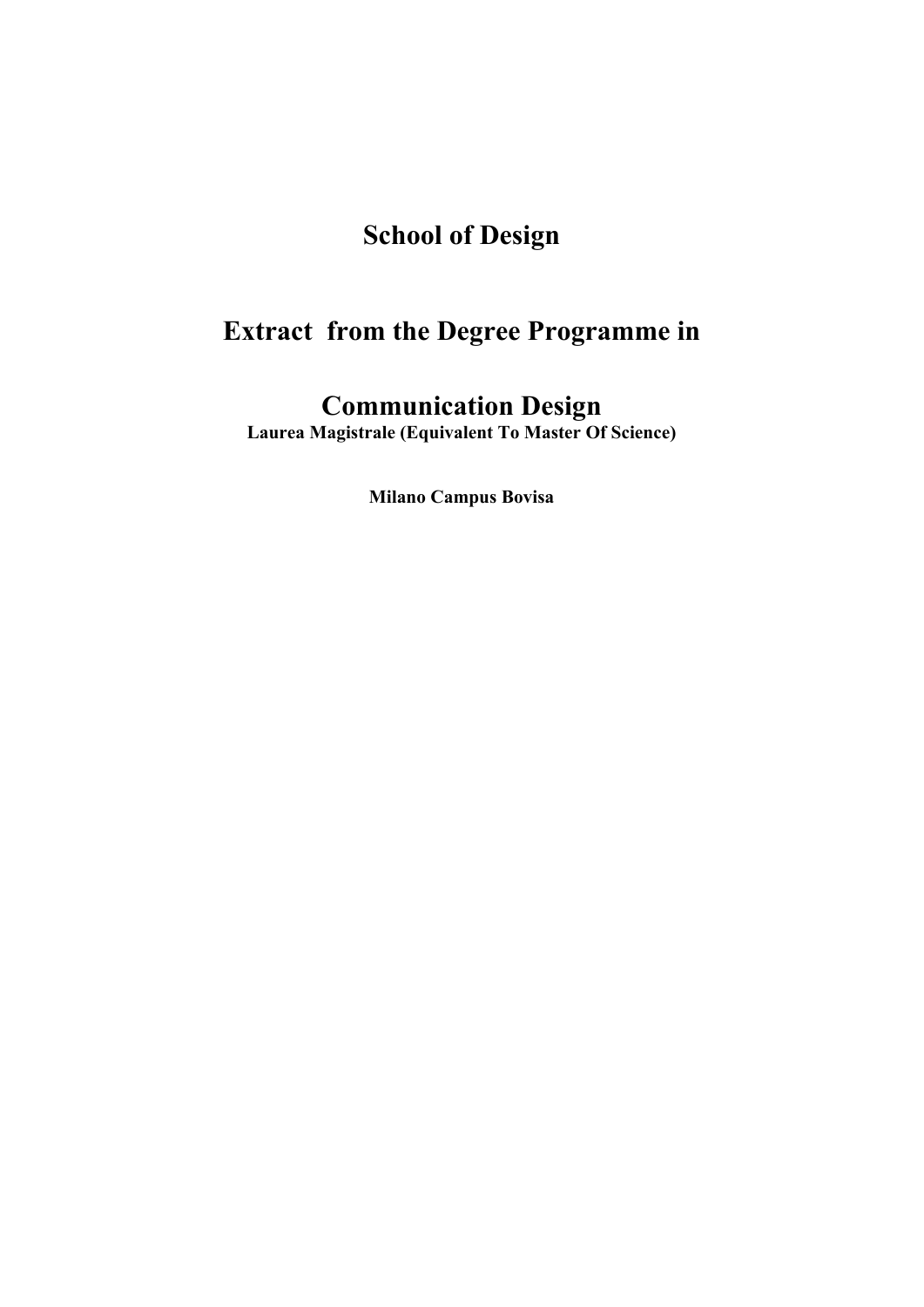# **School of Design**

# **Extract from the Degree Programme in**

## **Communication Design**

**Laurea Magistrale (Equivalent To Master Of Science)** 

**Milano Campus Bovisa**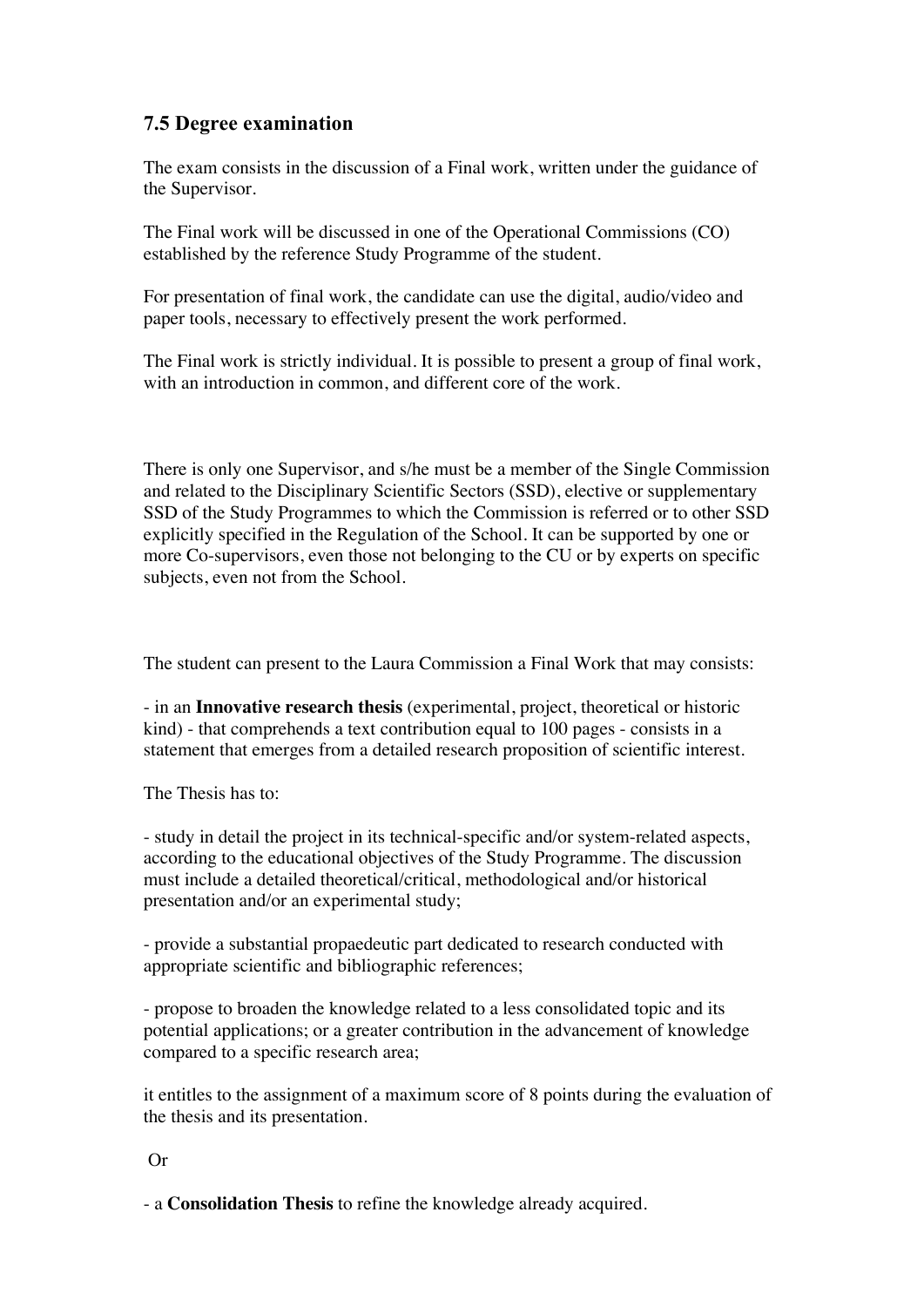### **7.5 Degree examination**

The exam consists in the discussion of a Final work, written under the guidance of the Supervisor.

The Final work will be discussed in one of the Operational Commissions (CO) established by the reference Study Programme of the student.

For presentation of final work, the candidate can use the digital, audio/video and paper tools, necessary to effectively present the work performed.

The Final work is strictly individual. It is possible to present a group of final work, with an introduction in common, and different core of the work.

There is only one Supervisor, and s/he must be a member of the Single Commission and related to the Disciplinary Scientific Sectors (SSD), elective or supplementary SSD of the Study Programmes to which the Commission is referred or to other SSD explicitly specified in the Regulation of the School. It can be supported by one or more Co-supervisors, even those not belonging to the CU or by experts on specific subjects, even not from the School.

The student can present to the Laura Commission a Final Work that may consists:

- in an **Innovative research thesis** (experimental, project, theoretical or historic kind) - that comprehends a text contribution equal to 100 pages - consists in a statement that emerges from a detailed research proposition of scientific interest.

The Thesis has to:

- study in detail the project in its technical-specific and/or system-related aspects, according to the educational objectives of the Study Programme. The discussion must include a detailed theoretical/critical, methodological and/or historical presentation and/or an experimental study;

- provide a substantial propaedeutic part dedicated to research conducted with appropriate scientific and bibliographic references;

- propose to broaden the knowledge related to a less consolidated topic and its potential applications; or a greater contribution in the advancement of knowledge compared to a specific research area;

it entitles to the assignment of a maximum score of 8 points during the evaluation of the thesis and its presentation.

#### Or

- a **Consolidation Thesis** to refine the knowledge already acquired.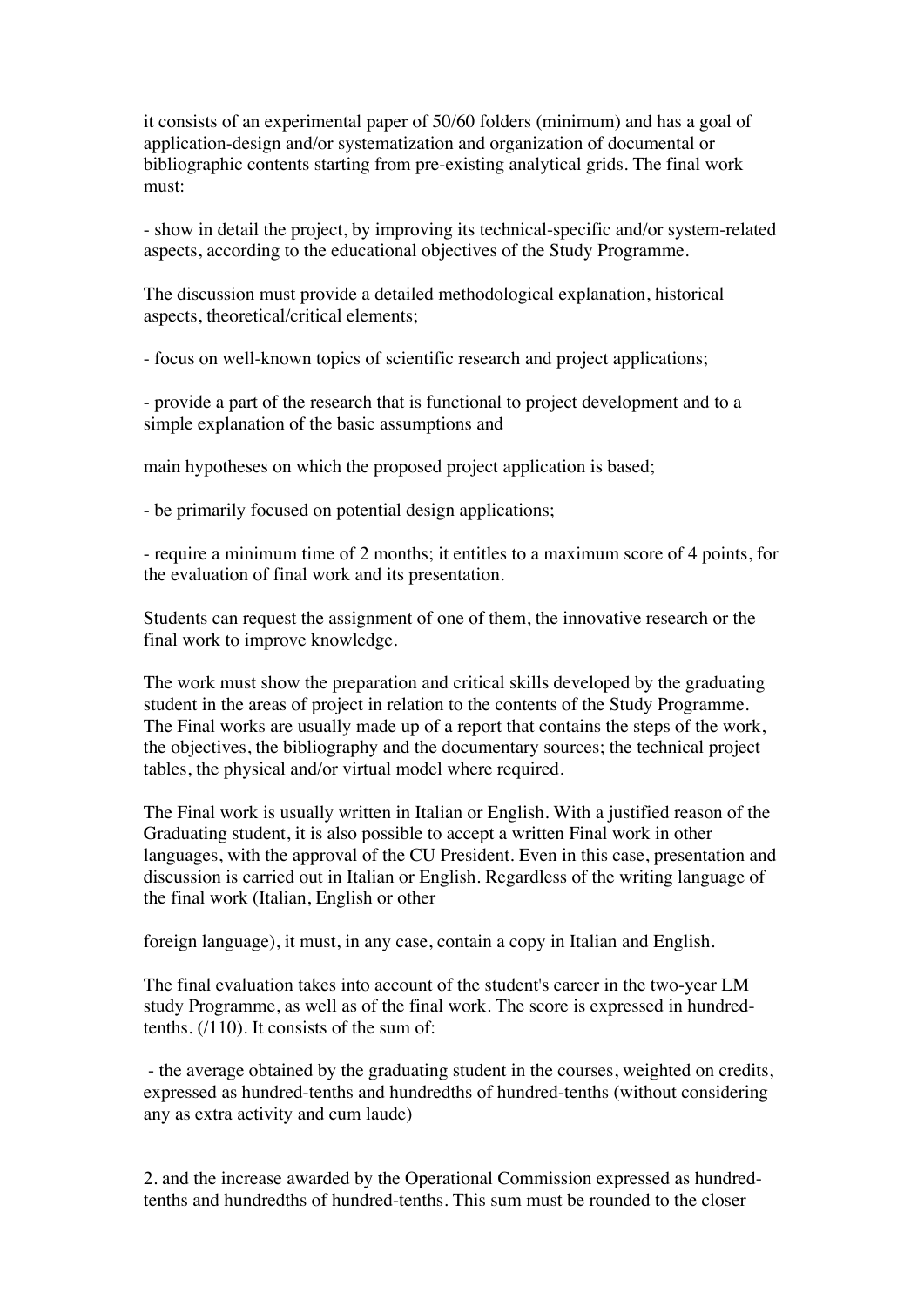it consists of an experimental paper of 50/60 folders (minimum) and has a goal of application-design and/or systematization and organization of documental or bibliographic contents starting from pre-existing analytical grids. The final work must:

- show in detail the project, by improving its technical-specific and/or system-related aspects, according to the educational objectives of the Study Programme.

The discussion must provide a detailed methodological explanation, historical aspects, theoretical/critical elements;

- focus on well-known topics of scientific research and project applications;

- provide a part of the research that is functional to project development and to a simple explanation of the basic assumptions and

main hypotheses on which the proposed project application is based;

- be primarily focused on potential design applications;

- require a minimum time of 2 months; it entitles to a maximum score of 4 points, for the evaluation of final work and its presentation.

Students can request the assignment of one of them, the innovative research or the final work to improve knowledge.

The work must show the preparation and critical skills developed by the graduating student in the areas of project in relation to the contents of the Study Programme. The Final works are usually made up of a report that contains the steps of the work, the objectives, the bibliography and the documentary sources; the technical project tables, the physical and/or virtual model where required.

The Final work is usually written in Italian or English. With a justified reason of the Graduating student, it is also possible to accept a written Final work in other languages, with the approval of the CU President. Even in this case, presentation and discussion is carried out in Italian or English. Regardless of the writing language of the final work (Italian, English or other

foreign language), it must, in any case, contain a copy in Italian and English.

The final evaluation takes into account of the student's career in the two-year LM study Programme, as well as of the final work. The score is expressed in hundredtenths. (/110). It consists of the sum of:

- the average obtained by the graduating student in the courses, weighted on credits, expressed as hundred-tenths and hundredths of hundred-tenths (without considering any as extra activity and cum laude)

2. and the increase awarded by the Operational Commission expressed as hundredtenths and hundredths of hundred-tenths. This sum must be rounded to the closer